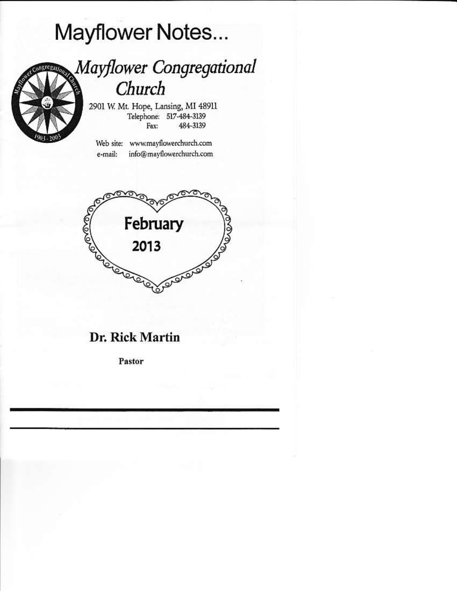# Mayflower Notes...



## Mayflower Congregational Church

2901 W. Mt. Hope, Lansing, MI 48911 Telephone: 517-484-3139 484-3139 Fax:

Web site: www.mayflowerchurch.com info@mayflowerchurch.com e-mail:



## Dr. Rick Martin

Pastor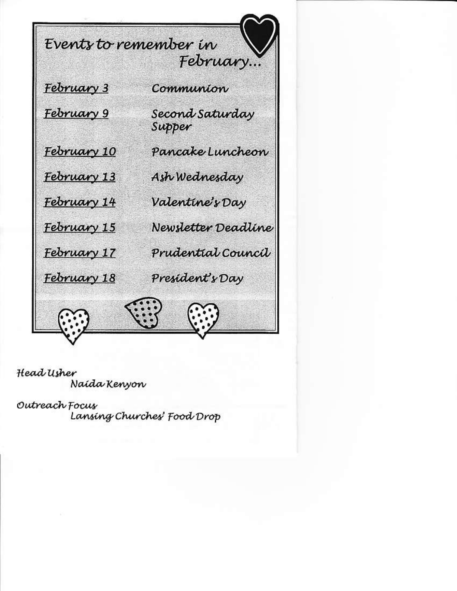Events to remember in February... February 3 Communion February 9 Second Saturday Supper February 10 Pancake Luncheon Ash Wednesday February 13 Valentine's Day February 14 February 15 Newsletter Deadline Prudential Council February 17 February 18 President's Day

Head Usher Naída Kenyon

Outreach Focus Lansing Churches' Food Drop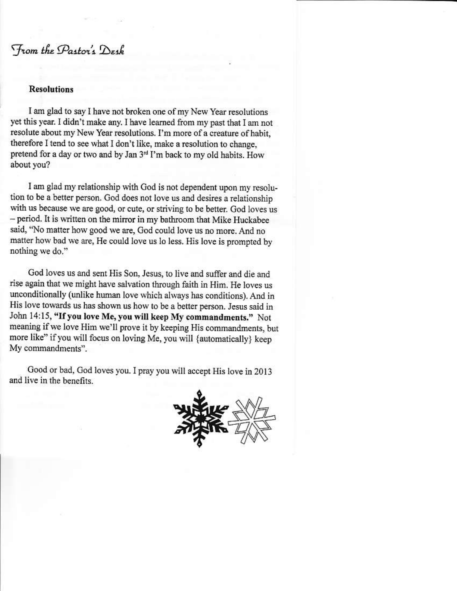### From the Pastor's Desk

#### **Resolutions**

I am glad to say I have not broken one of my New Year resolutions yet this year. I didn't make any. I have learned from my past that I am not resolute about my New Year resolutions. I'm more of a creature of habit, therefore I tend to see what I don't like, make a resolution to change, pretend for a day or two and by Jan 3<sup>rd</sup> I'm back to my old habits. How about you?

I am glad my relationship with God is not dependent upon my resolution to be a better person. God does not love us and desires a relationship with us because we are good, or cute, or striving to be better. God loves us - period. It is written on the mirror in my bathroom that Mike Huckabee said, "No matter how good we are, God could love us no more. And no matter how bad we are, He could love us lo less. His love is prompted by nothing we do."

God loves us and sent His Son, Jesus, to live and suffer and die and rise again that we might have salvation through faith in Him. He loves us unconditionally (unlike human love which always has conditions). And in His love towards us has shown us how to be a better person. Jesus said in John 14:15, "If you love Me, you will keep My commandments." Not meaning if we love Him we'll prove it by keeping His commandments, but more like" if you will focus on loving Me, you will {automatically} keep My commandments".

Good or bad, God loves you. I pray you will accept His love in 2013 and live in the benefits.

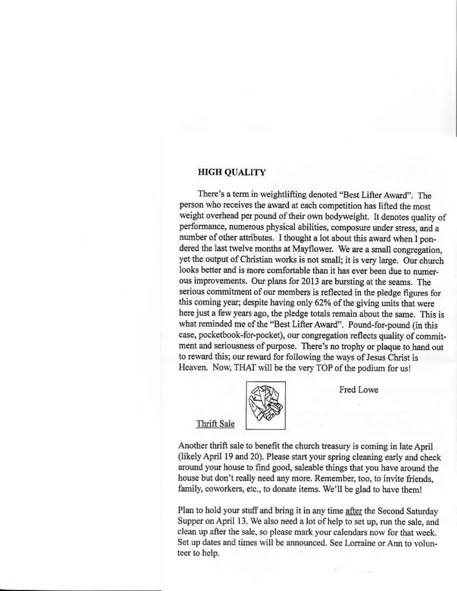#### **HIGH OUALITY**

There's a term in weightlifting denoted "Best Lifter Award". The person who receives the award at each competition has lifted the most weight overhead per pound of their own bodyweight. It denotes quality of performance, numerous physical abilities, composure under stress, and a number of other attributes. I thought a lot about this award when I pondered the last twelve months at Mayflower. We are a small congregation, yet the output of Christian works is not small; it is very large. Our church looks better and is more comfortable than it has ever been due to numerous improvements. Our plans for 2013 are bursting at the seams. The serious commitment of our members is reflected in the pledge figures for this coming year; despite having only 62% of the giving units that were here just a few years ago, the pledge totals remain about the same. This is what reminded me of the "Best Lifter Award". Pound-for-pound (in this case, pocketbook-for-pocket), our congregation reflects quality of commitment and seriousness of purpose. There's no trophy or plaque to hand out to reward this; our reward for following the ways of Jesus Christ is Heaven. Now, THAT will be the very TOP of the podium for us!



Fred Lowe

#### Thrift Sale

Another thrift sale to benefit the church treasury is coming in late April (likely April 19 and 20). Please start your spring cleaning early and check around your house to find good, saleable things that you have around the house but don't really need any more. Remember, too, to invite friends, family, coworkers, etc., to donate items. We'll be glad to have them!

Plan to hold your stuff and bring it in any time after the Second Saturday Supper on April 13. We also need a lot of help to set up, run the sale, and clean up after the sale, so please mark your calendars now for that week. Set up dates and times will be announced. See Lorraine or Ann to volunteer to help.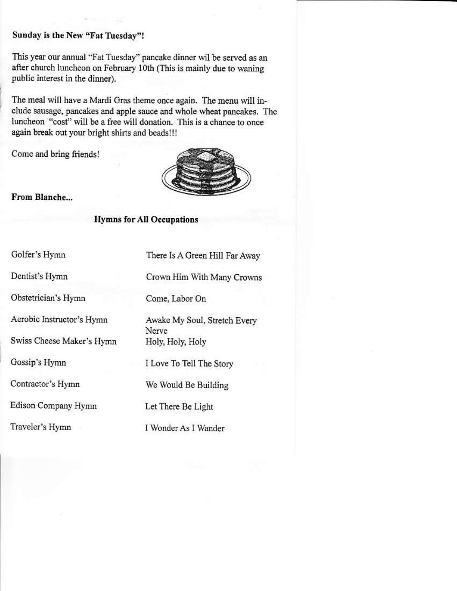#### Sunday is the New "Fat Tuesday"!

This year our annual "Fat Tuesday" pancake dinner wil be served as an after church luncheon on February 10th (This is mainly due to waning public interest in the dinner).

The meal will have a Mardi Gras theme once again. The menu will include sausage, pancakes and apple sauce and whole wheat pancakes. The luncheon "cost" will be a free will donation. This is a chance to once again break out your bright shirts and beads!!!

Come and bring friends!



From Blanche...

#### **Hymns for All Occupations**

Golfer's Hymn

Dentist's Hymn

Obstetrician's Hymn

Aerobic Instructor's Hymn

Swiss Cheese Maker's Hymn

Gossip's Hymn

Contractor's Hymn

Edison Company Hymn

Traveler's Hymn

There Is A Green Hill Far Away

Crown Him With Many Crowns

Come, Labor On

Awake My Soul, Stretch Every Nerve. Holy, Holy, Holy

I Love To Tell The Story

We Would Be Building

Let There Be Light

I Wonder As I Wander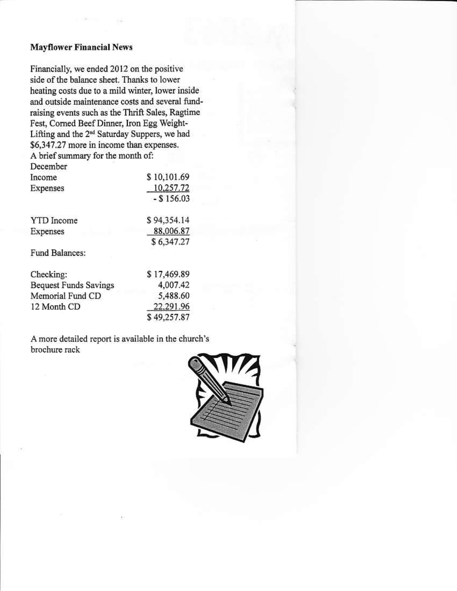#### **Mayflower Financial News**

Financially, we ended 2012 on the positive side of the balance sheet. Thanks to lower heating costs due to a mild winter, lower inside and outside maintenance costs and several fundraising events such as the Thrift Sales, Ragtime Fest, Corned Beef Dinner, Iron Egg Weight-Lifting and the 2<sup>nd</sup> Saturday Suppers, we had \$6,347.27 more in income than expenses. A brief summary for the month of:

December

| Income                       | \$10,101.69  |
|------------------------------|--------------|
| Expenses                     | 10,257.72    |
|                              | $-$ \$156.03 |
| <b>YTD</b> Income            | \$94,354.14  |
| Expenses                     | 88,006.87    |
|                              | \$6,347.27   |
| Fund Balances:               |              |
| Checking:                    | \$17,469.89  |
| <b>Bequest Funds Savings</b> | 4,007.42     |
| Memorial Fund CD             | 5,488.60     |
| 12 Month CD                  | 22,291.96    |
|                              | \$49,257.87  |

A more detailed report is available in the church's brochure rack

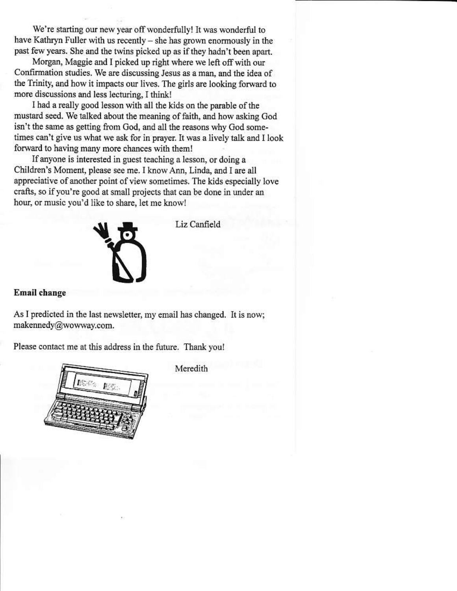We're starting our new year off wonderfully! It was wonderful to have Kathryn Fuller with us recently – she has grown enormously in the past few years. She and the twins picked up as if they hadn't been apart.

Morgan, Maggie and I picked up right where we left off with our Confirmation studies. We are discussing Jesus as a man, and the idea of the Trinity, and how it impacts our lives. The girls are looking forward to more discussions and less lecturing, I think!

I had a really good lesson with all the kids on the parable of the mustard seed. We talked about the meaning of faith, and how asking God isn't the same as getting from God, and all the reasons why God sometimes can't give us what we ask for in prayer. It was a lively talk and I look forward to having many more chances with them!

If anyone is interested in guest teaching a lesson, or doing a Children's Moment, please see me. I know Ann, Linda, and I are all appreciative of another point of view sometimes. The kids especially love crafts, so if you're good at small projects that can be done in under an hour, or music you'd like to share, let me know!



Liz Canfield

#### **Email** change

As I predicted in the last newsletter, my email has changed. It is now; makennedy@wowway.com.

Please contact me at this address in the future. Thank you!



Meredith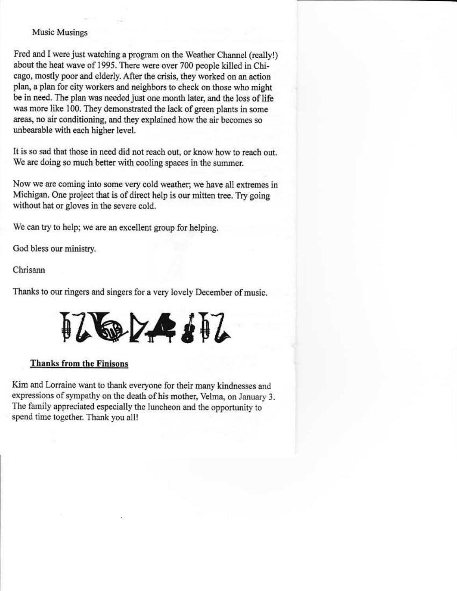#### Music Musings

Fred and I were just watching a program on the Weather Channel (really!) about the heat wave of 1995. There were over 700 people killed in Chicago, mostly poor and elderly. After the crisis, they worked on an action plan, a plan for city workers and neighbors to check on those who might be in need. The plan was needed just one month later, and the loss of life was more like 100. They demonstrated the lack of green plants in some areas, no air conditioning, and they explained how the air becomes so unbearable with each higher level.

It is so sad that those in need did not reach out, or know how to reach out. We are doing so much better with cooling spaces in the summer.

Now we are coming into some very cold weather; we have all extremes in Michigan. One project that is of direct help is our mitten tree. Try going without hat or gloves in the severe cold.

We can try to help; we are an excellent group for helping.

God bless our ministry.

Chrisann

Thanks to our ringers and singers for a very lovely December of music.

# 176274417

#### **Thanks from the Finisons**

Kim and Lorraine want to thank everyone for their many kindnesses and expressions of sympathy on the death of his mother, Velma, on January 3. The family appreciated especially the luncheon and the opportunity to spend time together. Thank you all!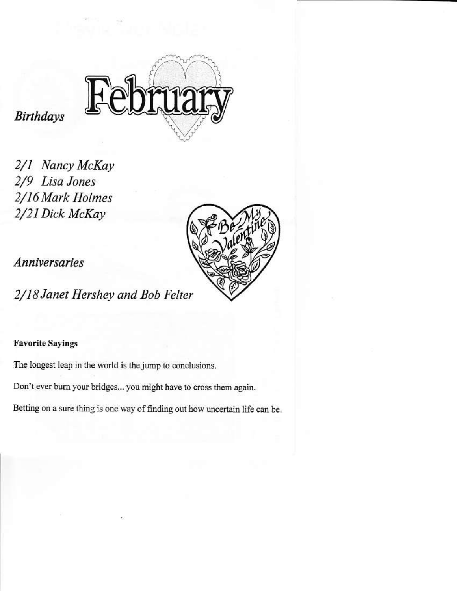

**Birthdays** 

2/1 Nancy McKay 2/9 Lisa Jones 2/16 Mark Holmes 2/21 Dick McKay



*Anniversaries* 

2/18 Janet Hershey and Bob Felter

#### **Favorite Sayings**

The longest leap in the world is the jump to conclusions.

Don't ever burn your bridges... you might have to cross them again.

Betting on a sure thing is one way of finding out how uncertain life can be.